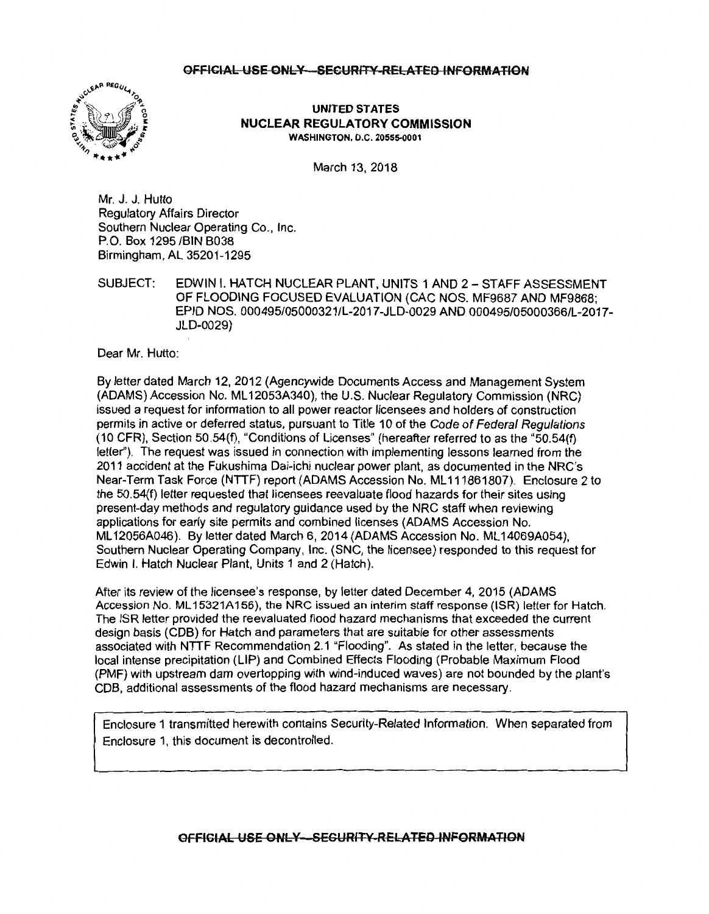

#### **UNITED STATES NUCLEAR REGULATORY COMMISSION WASHINGTON, D.C. 20555-0001**

March 13, 2018

Mr. J. J. Hutto Regulatory Affairs Director Southern Nuclear Operating Co., Inc. P.O. Box 1295 /BIN B038 Birmingham, AL 35201-1295

SUBJECT: EDWIN I. HATCH NUCLEAR PLANT, UNITS 1 AND 2 - STAFF ASSESSMENT OF FLOODING FOCUSED EVALUATION (CAC NOS. MF9687 AND MF9868; EPID NOS. 000495/05000321/L-2017-JLD-0029 AND 000495/05000366/L-2017- JLD-0029)

Dear Mr. Hutto:

By letter dated March 12, 2012 (Agencywide Documents Access and Management System (ADAMS) Accession No. ML 12053A340), the U.S. Nuclear Regulatory Commission (NRC) issued a request for information to all power reactor licensees and holders of construction permits in active or deferred status, pursuant to Title 10 of the Code of Federal Regulations (10 CFR), Section 50.54(f), "Conditions of Licenses" (hereafter referred to as the "50.54(f) letter"). The request was issued in connection with implementing lessons learned from the 2011 accident at the Fukushima Dai-ichi nuclear power plant, as documented in the NRC's Near-Term Task Force (NTTF) report (ADAMS Accession No. ML 111861807). Enclosure 2 to the 50.54(f) letter requested that licensees reevaluate flood hazards for their sites using present-day methods and regulatory guidance used by the NRC staff when reviewing applications for early site permits and combined licenses (ADAMS Accession No. ML 12056A046). By letter dated March 6, 2014 (ADAMS Accession No. ML 14069A054), Southern Nuclear Operating Company, Inc. (SNC, the licensee) responded to this request for Edwin I. Hatch Nuclear Plant, Units 1 and 2 (Hatch).

After its review of the licensee's response, by letter dated December 4, 2015 (ADAMS Accession No. ML15321A156), the NRC issued an interim staff response (ISR) letter for Hatch. The ISR letter provided the reevaluated flood hazard mechanisms that exceeded the current design basis (COB) for Hatch and parameters that are suitable for other assessments associated with NITF Recommendation 2.1 "Flooding". As stated in the letter, because the local intense precipitation (LIP) and Combined Effects Flooding (Probable Maximum Flood (PMF) with upstream dam overtopping with wind-induced waves) are not bounded by the plant's COB, additional assessments of the flood hazard mechanisms are necessary.

Enclosure 1 transmitted herewith contains Security-Related Information. When separated from Enclosure 1, this document is decontrolled.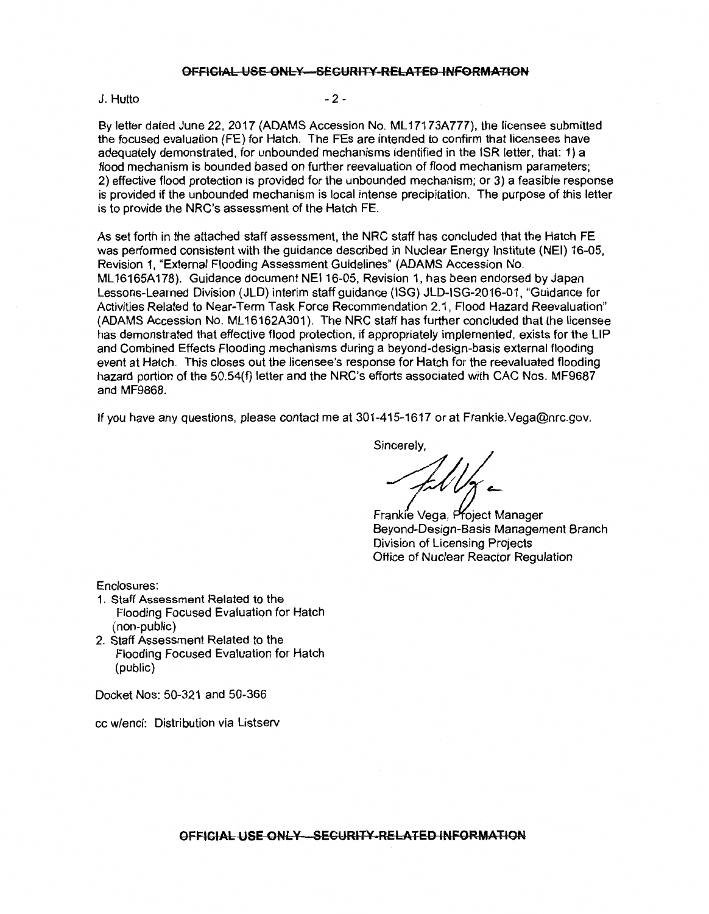#### J. Hutto

 $-2-$ 

By letter dated June 22, 2017 (ADAMS Accession No. ML 17173A777), the licensee submitted the focused evaluation (FE) for Hatch. The FEs are intended to confirm that licensees have adequately demonstrated, for unbounded mechanisms identified in the ISR letter, that: 1) a flood mechanism is bounded based on further reevaluation of flood mechanism parameters; 2) effective flood protection is provided for the unbounded mechanism; or 3) a feasible response is provided if the unbounded mechanism is local intense precipitation. The purpose of this letter is to provide the NRC's assessment of the Hatch FE.

As set forth in the attached staff assessment, the NRC staff has concluded that the Hatch FE was performed consistent with the guidance described in Nuclear Energy Institute (NEI) 16-05, Revision 1, "External Flooding Assessment Guidelines" (ADAMS Accession No. ML 16165A178). Guidance document NEI 16-05, Revision 1, has been endorsed by Japan Lessons-Learned Division (JLD) interim staff guidance (ISG) JLD-ISG-2016-01, "Guidance for Activities Related to Near-Term Task Force Recommendation 2.1, Flood Hazard Reevaluation" (ADAMS Accession No. ML 16162A301 ). The NRC staff has further concluded that the licensee has demonstrated that effective flood protection, if appropriately implemented, exists for the LIP and Combined Effects Flooding mechanisms during a beyond-design-basis external flooding event at Hatch. This closes out the licensee's response for Hatch for the reevaluated flooding hazard portion of the 50.54(f) letter and the NRC's efforts associated with CAC Nos. MF9687 and MF9868.

If you have any questions, please contact me at 301-415-1617 or at Frankie.Vega@nrc.gov.

Sincerely,

Frankie Vega, Project Manager<br>Beyond-Design-Basis Management Branch Division of Licensing Projects Office of Nuclear Reactor Regulation

Enclosures:

- 1 . Staff Assessment Related to the Flooding Focused Evaluation for Hatch (non-public)
- 2. Staff Assessment Related to the Flooding Focused Evaluation for Hatch (public)

Docket Nos: 50-321 and 50-366

cc w/encl: Distribution via Listserv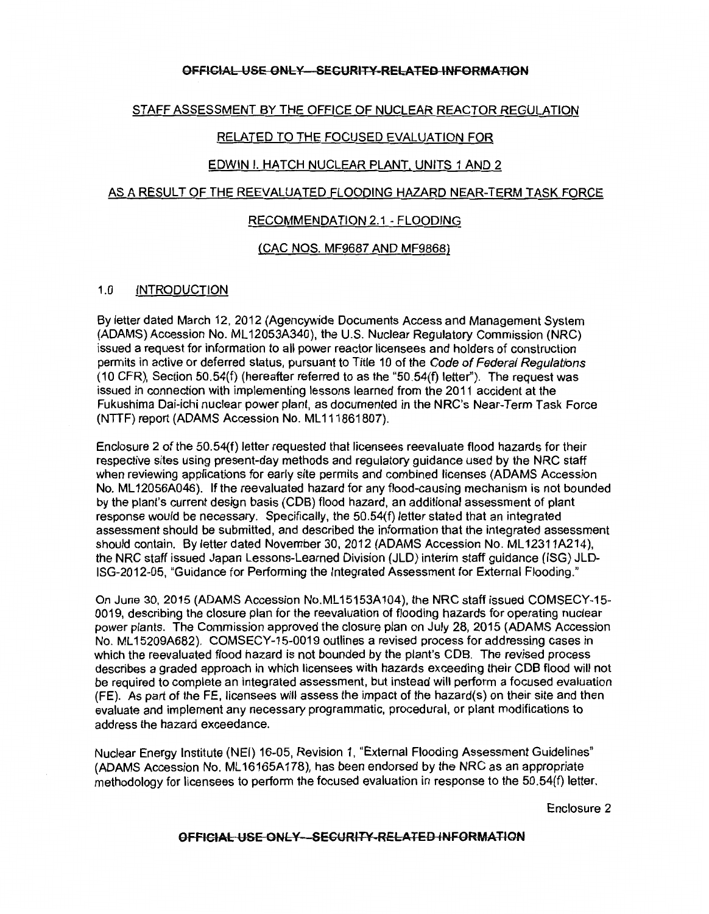### STAFF ASSESSMENT BY THE OFFICE OF NUCLEAR REACTOR REGULATION

### RELATED TO THE FOCUSED EVALUATION FOR

#### EDWIN I. HATCH NUCLEAR PLANT, UNITS 1 AND 2

#### AS A RESULT OF THE REEVALUATED FLOODING HAZARD NEAR-TERM TASK FORCE

#### RECOMMENDATION 2.1 - FLOODING

### (CAC NOS. MF9687 AND MF9868)

### 1.0 INTRODUCTION

By letter dated March 12, 2012 (Agencywide Documents Access and Management System (ADAMS) Accession No. ML 12053A340), the U.S. Nuclear Regulatory Commission (NRC) issued a request for information to all power reactor licensees and holders of construction permits in active or deferred status, pursuant to Title 10 of the Code of Federal Regulations (10 CFR), Section 50.54(f) (hereafter referred to as the "50.54(f) letter''). The request was issued in connection with implementing lessons learned from the 2011 accident at the Fukushima Dai-ichi nuclear power plant, as documented in the NRC's Near-Term Task Force (NTTF) report (ADAMS Accession No. ML111861807).

Enclosure 2 of the 50.54(f) letter requested that licensees reevaluate flood hazards for their respective sites using present-day methods and regulatory guidance used by the NRC staff when reviewing applications for early site permits and combined licenses (ADAMS Accession No. ML 12056A046). lf the reevaluated hazard for any flood-causing mechanism is not bounded by the plant's current design basis (COB) flood hazard, an additional assessment of plant response would be necessary. Specifically, the 50.54(f) letter stated that an integrated assessment should be submitted, and described the information that the integrated assessment should contain. By letter dated November 30, 2012 (ADAMS Accession No. ML12311A214), the NRC staff issued Japan Lessons-Learned Division (JLD) interim staff guidance (ISG) JLD-ISG-2012-05, "Guidance for Performing the Integrated Assessment for External Flooding."

On June 30, 2015 (ADAMS Accession No.ML 15153A104), the NRC staff issued COMSECY-15- 0019, describing the closure plan for the reevaluation of flooding hazards for operating nuclear power plants. The Commission approved the closure plan on July 28, 2015 (ADAMS Accession No. ML 15209A682). COMSECY-15-0019 outlines a revised process for addressing cases in which the reevaluated flood hazard is not bounded by the plant's COB. The revised process describes a graded approach in which licensees with hazards exceeding their COB flood will not be required to complete an integrated assessment, but instead will perform a focused evaluation (FE). As part of the FE, licensees will assess the impact of the hazard(s) on their site and then evaluate and implement any necessary programmatic, procedural, or plant modifications to address the hazard exceedance.

Nuclear Energy Institute (NEI) 16-05, Revision 1, "External Flooding Assessment Guidelines" (ADAMS Accession No. ML 16165A178), has been endorsed by the NRC as an appropriate methodology for licensees to perform the focused evaluation in response to the 50.54(f) letter.

Enclosure 2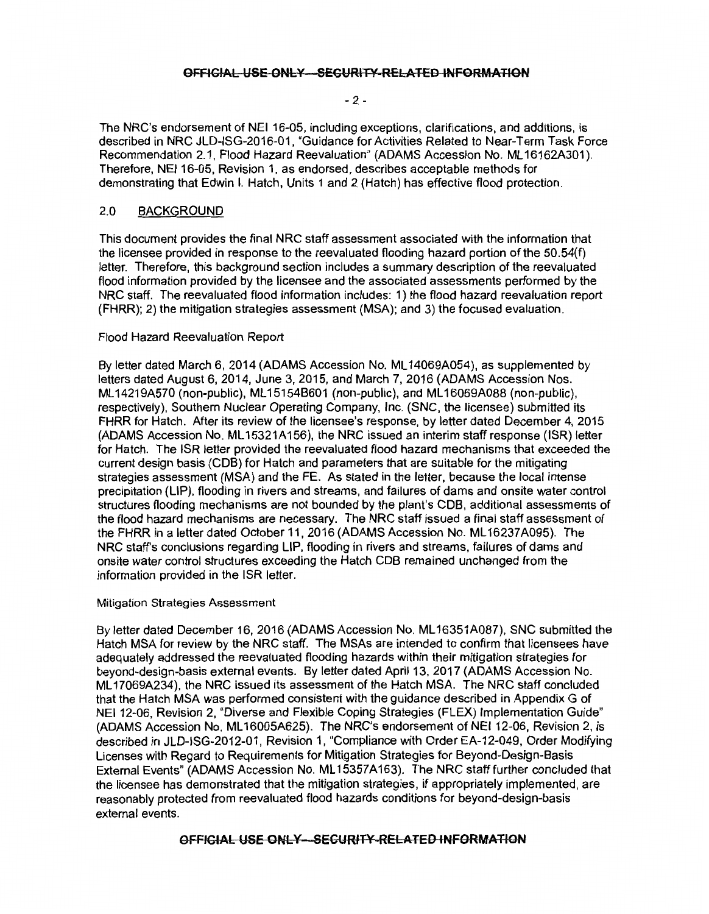#### $-2 -$

The NRC's endorsement of NEI 16-05, including exceptions, clarifications, and additions, is described in NRC JLD-ISG-2016-01, "Guidance for Activities Related to Near-Term Task Force Recommendation 2.1, Flood Hazard Reevaluation" (ADAMS Accession No. ML 16162A301 ). Therefore, NEI 16-05, Revision 1, as endorsed, describes acceptable methods for demonstrating that Edwin I. Hatch, Units 1 and 2 (Hatch) has effective flood protection.

### 2.0 BACKGROUND

This document provides the final NRC staff assessment associated with the information that the licensee provided in response to the reevaluated flooding hazard portion of the 50.54(f) letter. Therefore, this background section includes a summary description of the reevaluated flood information provided by the licensee and the associated assessments performed by the NRC staff. The reevaluated flood information includes: 1) the flood hazard reevaluation report (FHRR); 2) the mitigation strategies assessment (MSA); and 3) the focused evaluation.

### Flood Hazard Reevaluation Report

By letter dated March 6, 2014 (ADAMS Accession No. ML 14069A054), as supplemented by letters dated August 6, 2014, June 3, 2015, and March 7, 2016 (ADAMS Accession Nos. ML 14219A570 (non-public), ML 15154B601 (non-public), and ML 16069A088 (non-public), respectively), Southern Nuclear Operating Company, Inc. (SNC, the licensee) submitted its FHRR for Hatch. After its review of the licensee's response, by letter dated December 4, 2015 (ADAMS Accession No. ML 15321A156), the NRC issued an interim staff response (ISR) letter for Hatch. The ISR letter provided the reevaluated flood hazard mechanisms that exceeded the current design basis (COB) for Hatch and parameters that are suitable for the mitigating strategies assessment (MSA) and the FE. As stated in the letter, because the local intense precipitation (LIP), flooding in rivers and streams, and failures of dams and onsite water control structures flooding mechanisms are not bounded by the plant's COB, additional assessments of the flood hazard mechanisms are necessary. The NRC staff issued a final staff assessment of the FHRR in a letter dated October 11, 2016 (ADAMS Accession No. ML 16237A095). The NRC staff's conclusions regarding LIP, flooding in rivers and streams, failures of dams and onsite water control structures exceeding the Hatch COB remained unchanged from the information provided in the ISR letter.

#### Mitigation Strategies Assessment

By letter dated December 16, 2016 (ADAMS Accession No. ML 16351A087), SNC submitted the Hatch MSA for review by the NRC staff. The MSAs are intended to confirm that licensees have adequately addressed the reevaluated flooding hazards within their mitigation strategies for beyond-design-basis external events. By letter dated April 13, 2017 (ADAMS Accession No. ML 17069A234), the NRC issued its assessment of the Hatch MSA. The NRC staff concluded that the Hatch MSA was performed consistent with the guidance described in Appendix G of NEI 12-06, Revision 2, "Diverse and Flexible Coping Strategies (FLEX) Implementation Guide" (ADAMS Accession No. ML 16005A625). The NRC's endorsement of NEI 12-06, Revision 2, is described in JLD-ISG-2012-01, Revision 1, "Compliance with Order EA-12-049, Order Modifying Licenses with Regard to Requirements for Mitigation Strategies for Beyond-Design-Basis External Events" (ADAMS Accession No. ML 15357 A 163). The NRC staff further concluded that the licensee has demonstrated that the mitigation strategies, if appropriately implemented, are reasonably protected from reevaluated flood hazards conditions for beyond-design-basis external events.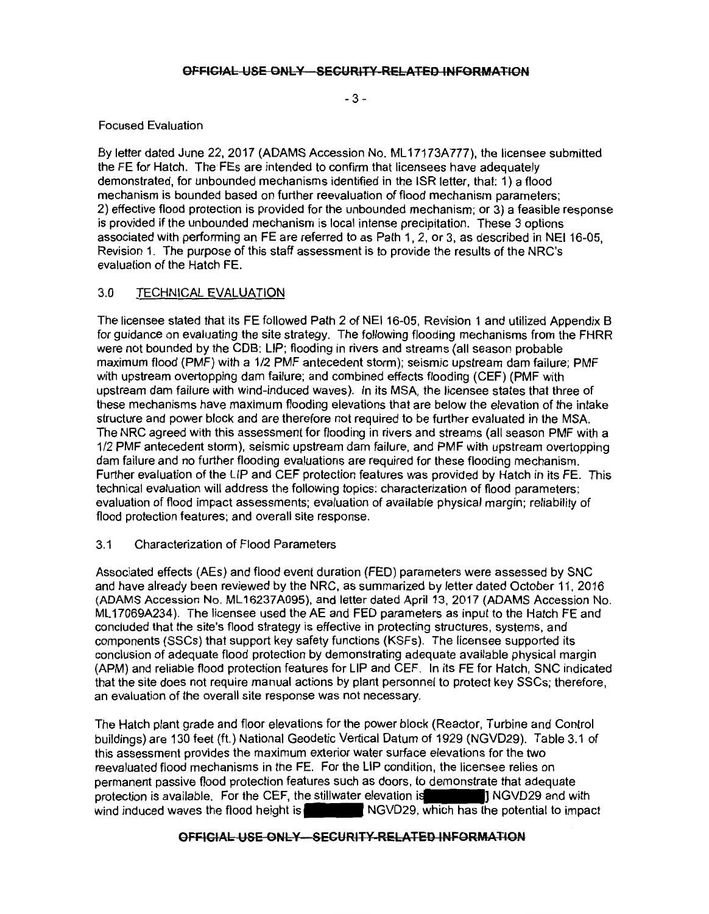$-3 -$ 

### Focused Evaluation

By letter dated June 22, 2017 (ADAMS Accession No. ML17173A777), the licensee submitted the FE for Hatch. The FEs are intended to confirm that licensees have adequately demonstrated, for unbounded mechanisms identified in the ISR letter, that: 1) a flood mechanism is bounded based on further reevaluation of flood mechanism parameters; 2) effective flood protection is provided for the unbounded mechanism; or 3) a feasible response is provided if the unbounded mechanism is local intense precipitation. These 3 options associated with performing an FE are referred to as Path 1, 2, or 3, as described in NEI 16-05, Revision 1. The purpose of this staff assessment is to provide the results of the NRC's evaluation of the Hatch FE.

# 3.0 TECHNICAL EVALUATION

The licensee stated that its FE followed Path 2 of NEI 16-05, Revision 1 and utilized Appendix B for guidance on evaluating the site strategy. The following flooding mechanisms from the FHRR were not bounded by the COB: LIP; flooding in rivers and streams (all season probable maximum flood (PMF) with a 1/2 PMF antecedent storm); seismic upstream dam failure; PMF with upstream overtopping dam failure; and combined effects flooding (CEF) (PMF with upstream dam failure with wind-induced waves). In its MSA, the licensee states that three of these mechanisms have maximum flooding elevations that are below the elevation of the intake structure and power block and are therefore not required to be further evaluated in the MSA. The NRC agreed with this assessment for flooding in rivers and streams (all season PMF with a 1/2 PMF antecedent storm), seismic upstream dam failure, and PMF with upstream overtopping dam failure and no further flooding evaluations are required for these flooding mechanism. Further evaluation of the LIP and CEF protection features was provided by Hatch in its FE. This technical evaluation will address the following topics: characterization of flood parameters; evaluation of flood impact assessments; evaluation of available physical margin; reliability of flood protection features; and overall site response.

# 3.1 Characterization of Flood Parameters

Associated effects (AEs) and flood event duration (FED) parameters were assessed by SNC and have already been reviewed by the NRC, as summarized by letter dated October 11, 2016 (ADAMS Accession No. ML 16237 A095), and letter dated April 13, 2017 (ADAMS Accession No. ML 17069A234 ). The licensee used the AE and FED parameters as input to the Hatch FE and concluded that the site's flood strategy is effective in protecting structures, systems, and components (SSCs) that support key safety functions (KSFs). The licensee supported its conclusion of adequate flood protection by demonstrating adequate available physical margin (APM) and reliable flood protection features for LIP and CEF. In its FE for Hatch, SNC indicated that the site does not require manual actions by plant personnel to protect key SSCs; therefore, an evaluation of the overall site response was not necessary.

The Hatch plant grade and floor elevations for the power block (Reactor, Turbine and Control buildings) are 130 feet (ft.) National Geodetic Vertical Datum of 1929 (NGVD29). Table 3.1 of this assessment provides the maximum exterior water surface elevations for the two reevaluated flood mechanisms in the FE. For the LIP condition, the licensee relies on permanent passive flood protection features such as doors, to demonstrate that adequate this assessment provides the maximum exterior water surface elevations for the two<br>reevaluated flood mechanisms in the FE. For the LIP condition, the licensee relies on<br>permanent passive flood protection features such as d wind induced waves the flood height is  $\blacksquare$  NGVD29, which has the potential to impact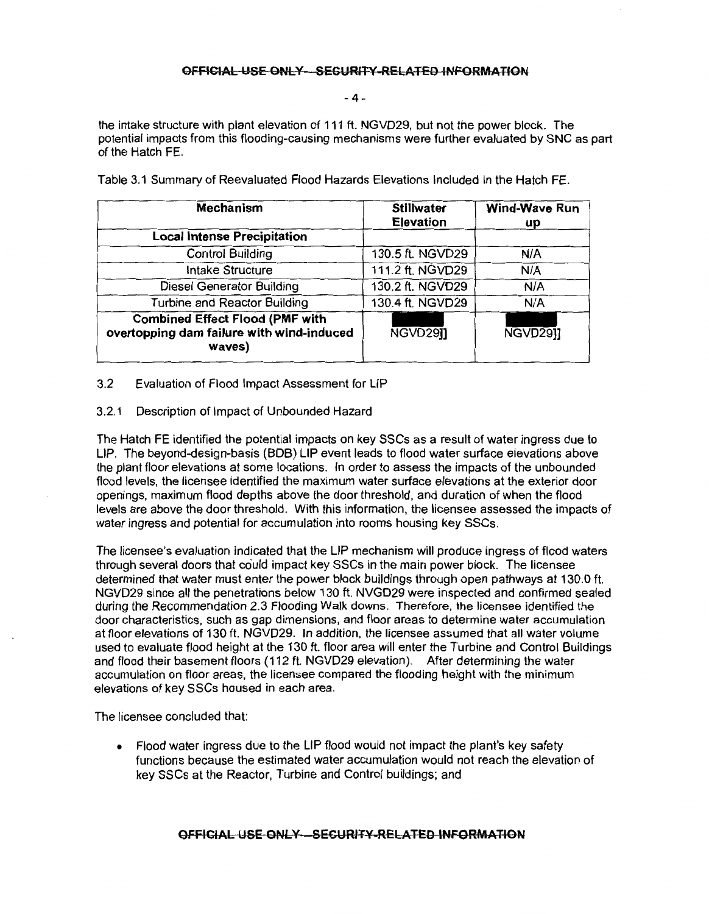-4-

the intake structure with plant elevation of 111 ft. NGVD29, but not the power block. The potential impacts from this flooding-causing mechanisms were further evaluated by SNC as part of the Hatch FE.

| Mechanism                                                                                     | <b>Stillwater</b><br><b>Elevation</b> | <b>Wind-Wave Run</b><br>up |
|-----------------------------------------------------------------------------------------------|---------------------------------------|----------------------------|
| <b>Local Intense Precipitation</b>                                                            |                                       |                            |
| <b>Control Building</b>                                                                       | 130.5 ft. NGVD29                      | N/A                        |
| <b>Intake Structure</b>                                                                       | 111.2 ft. NGVD29                      | N/A                        |
| Diesel Generator Building                                                                     | 130.2 ft. NGVD29                      | N/A                        |
| <b>Turbine and Reactor Building</b>                                                           | 130.4 ft. NGVD29                      | N/A                        |
| <b>Combined Effect Flood (PMF with</b><br>overtopping dam failure with wind-induced<br>waves) | NGVD291                               | NGVD2911                   |

Table 3.1 Summary of Reevaluated Flood Hazards Elevations Included in the Hatch FE.

3.2 Evaluation of Flood Impact Assessment for LIP

#### 3.2.1 Description of Impact of Unbounded Hazard

The Hatch FE identified the potential impacts on key SSCs as a result of water ingress due to LIP. The beyond-design-basis (BOB) LIP event leads to flood water surface elevations above the plant floor elevations at some locations. In order to assess the impacts of the unbounded flood levels, the licensee identified the maximum water surface elevations at the exterior door openings, maximum flood depths above the door threshold, and duration of when the flood levels are above the door threshold. With this information, the licensee assessed the impacts of water ingress and potential for accumulation into rooms housing key SSCs.

The licensee's evaluation indicated that the LIP mechanism will produce ingress of flood waters through several doors that co'uld impact key SSCs in the main power block. The licensee determined that water must enter the power block buildings through open pathways at 130.0 ft. NGVD29 since all the penetrations below 130 ft. NVGD29 were inspected and confirmed sealed during the Recommendation 2.3 Flooding Walk downs. Therefore, the licensee identified the door characteristics, such as gap dimensions, and floor areas to determine water accumulation at floor elevations of 130 ft. NGVD29. In addition, the licensee assumed that all water volume used to evaluate flood height at the 130 ft. floor area will enter the Turbine and Control Buildings and flood their basement floors (112 ft. NGVD29 elevation). After determining the water accumulation on floor areas, the licensee compared the flooding height with the minimum elevations of key SSCs housed in each area.

The licensee concluded that:

• Flood water ingress due to the LIP flood would not impact the plant's key safety functions because the estimated water accumulation would not reach the elevation of key SSCs at the Reactor, Turbine and Control buildings; and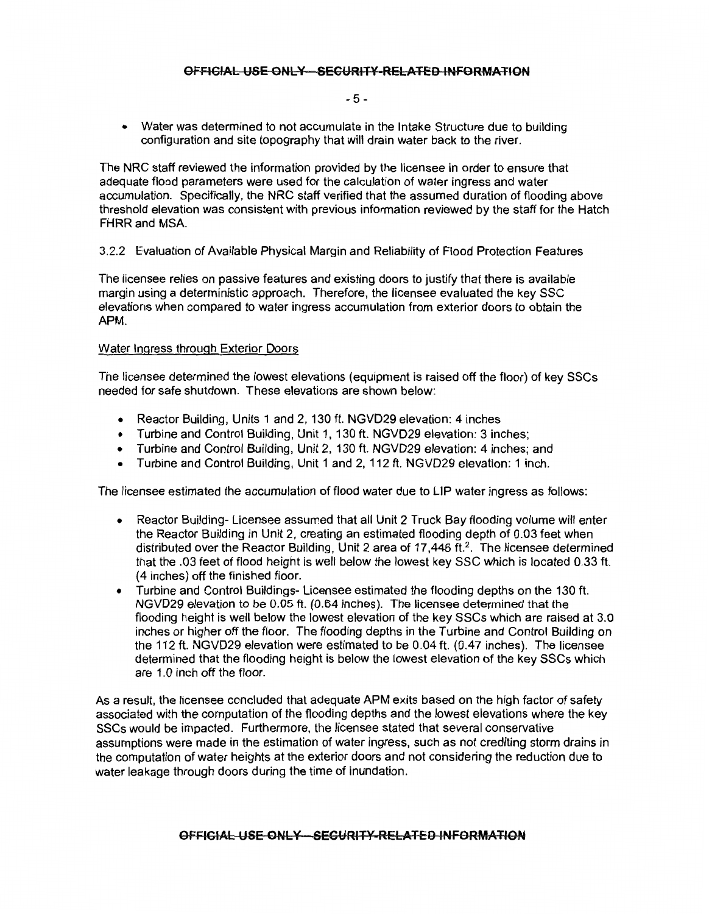#### $-5 -$

• Water was determined to not accumulate in the Intake Structure due to building configuration and site topography that will drain water back to the river.

The NRC staff reviewed the information provided by the licensee in order to ensure that adequate flood parameters were used for the calculation of water ingress and water accumulation. Specifically, the NRC staff verified that the assumed duration of flooding above threshold elevation was consistent with previous information reviewed by the staff for the Hatch FHRR and MSA.

3.2.2 Evaluation of Available Physical Margin and Reliability of Flood Protection Features

The licensee relies on passive features and existing doors to justify that there is available margin using a deterministic approach. Therefore, the licensee evaluated the key SSC elevations when compared to water ingress accumulation from exterior doors to obtain the APM.

#### Water Ingress through Exterior Doors

The licensee determined the lowest elevations ( equipment is raised off the floor) of key SSCs needed for safe shutdown. These elevations are shown below:

- Reactor Building, Units 1 and 2, 130 ft. NGVD29 elevation: 4 inches
- Turbine and Control Building, Unit 1, 130 ft. NGVD29 elevation: 3 inches;
- Turbine and Control Building, Unit 2, 130 ft. NGVD29 elevation: 4 inches; and
- Turbine and Control Building, Unit 1 and 2, 112 ft. NGVD29 elevation: 1 inch.

The licensee estimated the accumulation of flood water due to LIP water ingress as follows:

- Reactor Building- Licensee assumed that all Unit 2 Truck Bay flooding volume will enter the Reactor Building in Unit 2, creating an estimated flooding depth of 0.03 feet when distributed over the Reactor Building, Unit 2 area of 17,446 ft.<sup>2</sup>. The licensee determined that the .03 feet of flood height is well below the lowest key SSC which is located 0.33 ft. ( 4 inches) off the finished floor.
- Turbine and Control Buildings- Licensee estimated the flooding depths on the 130 ft. NGVD29 elevation to be 0.05 ft. (0.64 inches). The licensee determined that the flooding height is well below the lowest elevation of the key SSCs which are raised at 3.0 inches or higher off the floor. The flooding depths in the Turbine and Control Building on the 112 ft. NGVD29 elevation were estimated to be 0.04 ft. (0.47 inches). The licensee determined that the flooding height is below the lowest elevation of the key SSCs which are 1.0 inch off the floor.

As a result, the licensee concluded that adequate APM exits based on the high factor of safety associated with the computation of the flooding depths and the lowest elevations where the key SSCs would be impacted. Furthermore, the licensee stated that several conservative assumptions were made in the estimation of water ingress, such as not crediting storm drains in the computation of water heights at the exterior doors and not considering the reduction due to water leakage through doors during the time of inundation.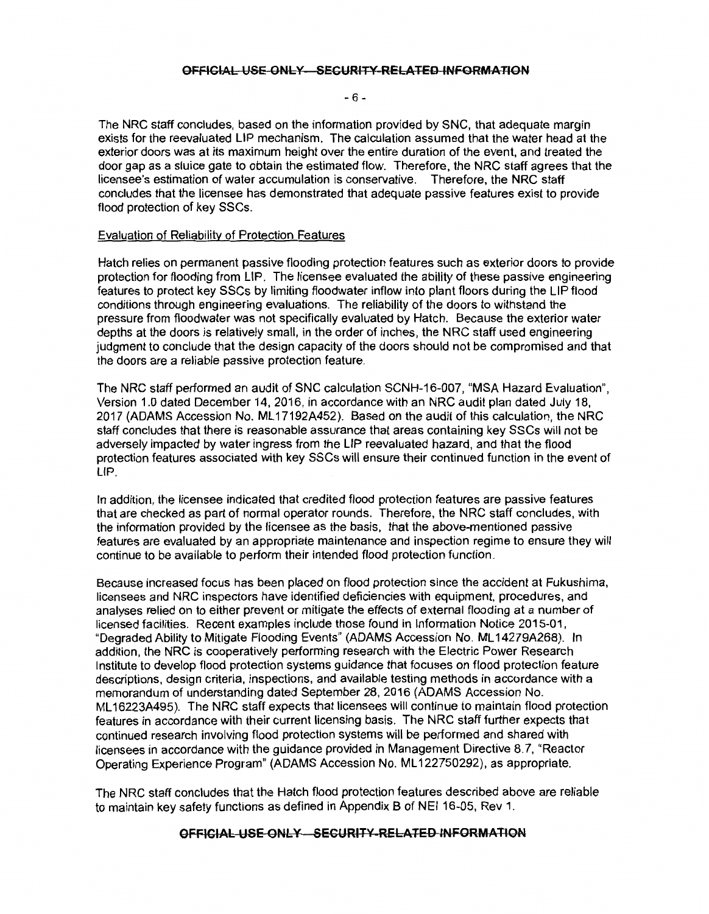#### - 6 -

The NRC staff concludes, based on the information provided by SNC, that adequate margin exists for the reevaluated LIP mechanism. The calculation assumed that the water head at the exterior doors was at its maximum height over the entire duration of the event, and treated the door gap as a sluice gate to obtain the estimated flow. Therefore, the NRC staff agrees that the licensee's estimation of water accumulation is conservative. Therefore, the NRC staff concludes that the licensee has demonstrated that adequate passive features exist to provide flood protection of key SSCs.

#### Evaluation of Reliability of Protection Features

Hatch relies on permanent passive flooding protection features such as exterior doors to provide protection for flooding from LIP. The licensee evaluated the ability of these passive engineering features to protect key SSCs by limiting floodwater inflow into plant floors during the LIP flood conditions through engineering evaluations. The reliability of the doors to withstand the pressure from floodwater was not specifically evaluated by Hatch. Because the exterior water depths at the doors is relatively small, in the order of inches, the NRC staff used engineering judgment to conclude that the design capacity of the doors should not be compromised and that the doors are a reliable passive protection feature.

The NRC staff performed an audit of SNC calculation SCNH-16-007, "MSA Hazard Evaluation", Version 1.0 dated December 14, 2016, in accordance with an NRC audit plan dated July 18, 2017 (ADAMS Accession No. ML 17192A452). Based on the audit of this calculation, the NRC staff concludes that there is reasonable assurance that areas containing key SSCs will not be adversely impacted by water ingress from the LIP reevaluated hazard, and that the flood protection features associated with key SSCs will ensure their continued function in the event of LIP.

In addition, the licensee indicated that credited flood protection features are passive features that are checked as part of normal operator rounds. Therefore, the NRC staff concludes, with the information provided by the licensee as the basis, that the above-mentioned passive features are evaluated by an appropriate maintenance and inspection regime to ensure they will continue to be available to perform their intended flood protection function.

Because increased focus has been placed on flood protection since the accident at Fukushima, licensees and NRC inspectors have identified deficiencies with equipment, procedures, and analyses relied on to either prevent or mitigate the effects of external flooding at a number of licensed facilities. Recent examples include those found in Information Notice 2015-01, "Degraded Ability to Mitigate Flooding Events" (ADAMS Accession No. ML 14279A268). In addition, the NRC is cooperatively performing research with the Electric Power Research Institute to develop flood protection systems guidance that focuses on flood protection feature descriptions, design criteria, inspections, and available testing methods in accordance with a memorandum of understanding dated September 28, 2016 (ADAMS Accession No. ML 16223A495). The NRC staff expects that licensees will continue to maintain flood protection features in accordance with their current licensing basis. The NRC staff further expects that continued research involving flood protection systems will be performed and shared with licensees in accordance with the guidance provided in Management Directive 8.7, "Reactor Operating Experience Program" (ADAMS Accession No. ML 122750292), as appropriate.

The NRC staff concludes that the Hatch flood protection features described above are reliable to maintain key safety functions as defined in Appendix B of NEI 16-05, Rev 1.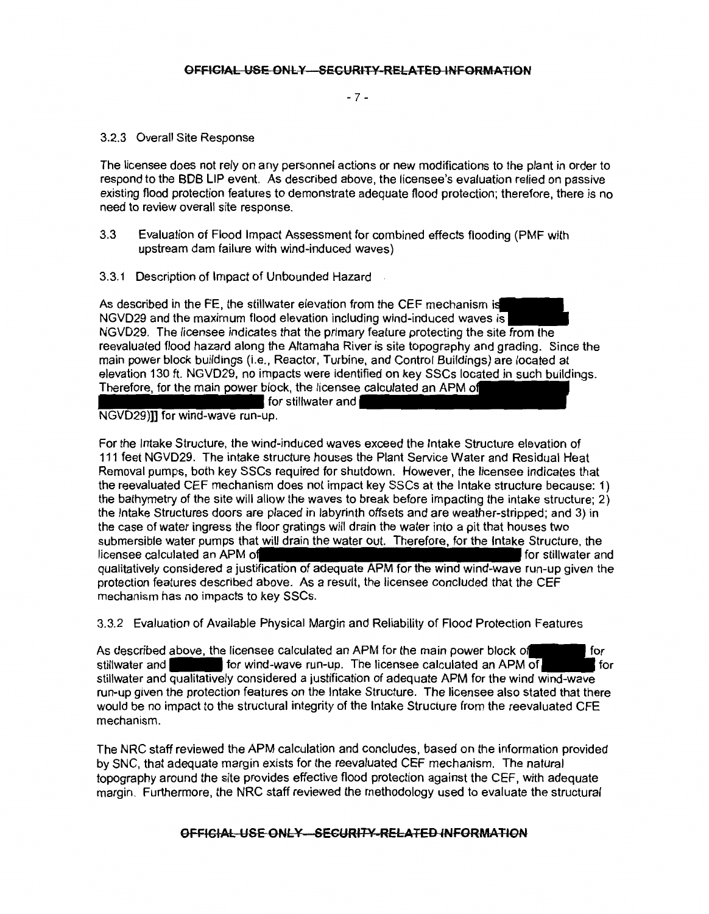- 7 -

#### 3.2.3 Overall Site Response

The licensee does not rely on any personnel actions or new modifications to the plant in order to respond to the BOB LIP event. As described above, the licensee's evaluation relied on passive existing flood protection features to demonstrate adequate flood protection; therefore, there is no need to review overall site response.

- 3.3 Evaluation of Flood Impact Assessment for combined effects flooding (PMF with upstream dam failure with wind-induced waves)
- 3.3.1 Description of Impact of Unbounded Hazard

As described in the FE, the stillwater elevation from the CEF mechanism i NGVD29 and the maximum flood elevation including wind-induced waves is NGVD29. The licensee indicates that the primary feature protecting the site from the reevaluated flood hazard along the Altamaha River is site topography and grading. Since the main power block buildings (i.e., Reactor, Turbine, and Control Buildings) are located at elevation 130 ft. NGVD29, no impacts were identified on key SSCs located in such buildings. Therefore, for the main power block, the licensee calculated an APM of for stillwater and

# NGVD29)]] for wind-wave run-up.

For the Intake Structure, the wind-induced waves exceed the Intake Structure elevation of 111 feet NGVD29. The intake structure houses the Plant Service Water and Residual Heat Removal pumps, both key SSCs required for shutdown. However, the licensee indicates that the reevaluated CEF mechanism does not impact key SSCs at the Intake structure because: 1) the bathymetry of the site will allow the waves to break before impacting the intake structure; 2) the Intake Structures doors are placed in labyrinth offsets and are weather-stripped; and 3) in the case of water ingress the floor gratings will drain the water into a pit that houses two submersible water pumps that will drain the water out. Therefore, for the Intake Structure, the licensee calculated an APM of the state of the state of the stillwater and for stillwater and qualitatively considered a justification of adequate APM for the wind wind-wave run-up given the protection features described above. As a result, the licensee concluded that the CEF mechanism has no impacts to key SSCs.

3.3.2 Evaluation of Available Physical Margin and Reliability of Flood Protection Features

As described above, the licensee calculated an APM for the main power block of l for stillwater and  $\blacksquare$  for wind-wave run-up. The licensee calculated an APM of for stillwater and qualitatively considered a justification of adequate APM for the wind wind-wave run-up given the protection features on the Intake Structure. The licensee also stated that there would be no impact to the structural integrity of the Intake Structure from the reevaluated CFE mechanism.

The NRC staff reviewed the APM calculation and concludes, based on the information provided by SNC, that adequate margin exists for the reevaluated CEF mechanism. The natural topography around the site provides effective flood protection against the CEF, with adequate margin. Furthermore, the NRG staff reviewed the methodology used to evaluate the structural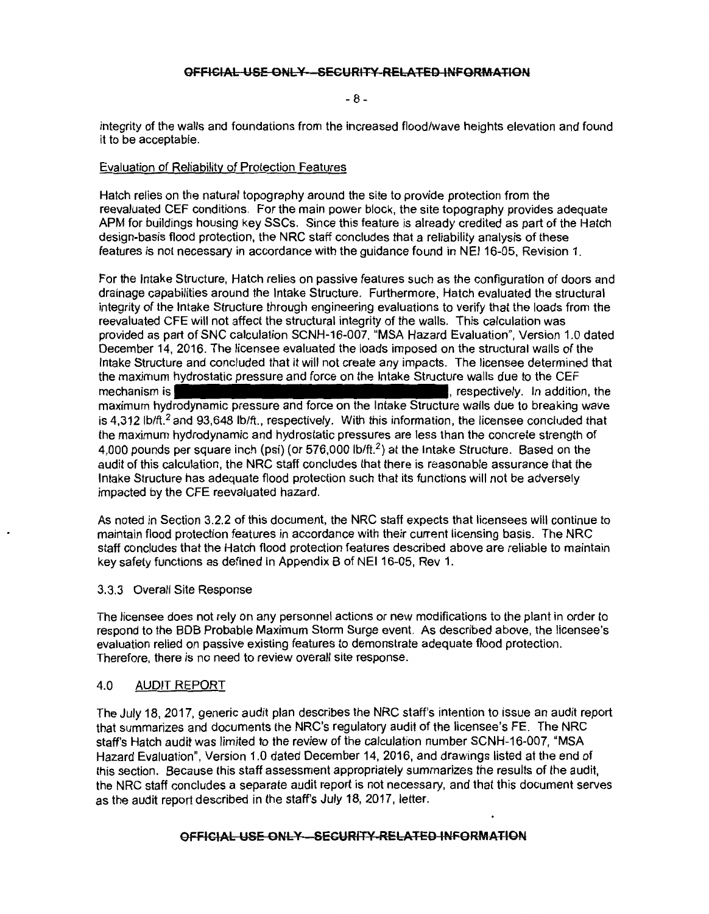- 8 -

integrity of the walls and foundations from the increased flood/wave heights elevation and found it to be acceptable.

### Evaluation of Reliability of Protection Features

Hatch relies on the natural topography around the site to provide protection from the reevaluated CEF conditions. For the main power block, the site topography provides adequate APM for buildings housing key SSCs. Since this feature is already credited as part of the Hatch design-basis flood protection, the NRC staff concludes that a reliability analysis of these features is not necessary in accordance with the guidance found in NEI 16-05, Revision 1.

For the Intake Structure, Hatch relies on passive features such as the configuration of doors and drainage capabilities around the Intake Structure. Furthermore, Hatch evaluated the structural integrity of the Intake Structure through engineering evaluations to verify that the loads from the reevaluated CFE will not affect the structural integrity of the walls. This calculation was provided as part of SNC calculation SCNH-16-007, "MSA Hazard Evaluation", Version 1.0 dated December 14, 2016. The licensee evaluated the loads imposed on the structural walls of the Intake Structure and concluded that it will not create any impacts. The licensee determined that the maximum hydrostatic pressure and force on the Intake Structure walls due to the CEF mechanism is **the contract of the contract of the contract of the contract of the contract of the contract of the contract of the contract of the contract of the contract of the contract of the contract of the contract of** maximum hydrodynamic pressure and force on the Intake Structure walls due to breaking wave is 4,312 lb/ft.<sup>2</sup> and 93,648 lb/ft., respectively. With this information, the licensee concluded that the maximum hydrodynamic and hydrostatic pressures are less than the concrete strength of 4,000 pounds per square inch (psi) (or 576,000 lb/ft.<sup>2</sup>) at the Intake Structure. Based on the audit of this calculation, the NRC staff concludes that there is reasonable assurance that the Intake Structure has adequate flood protection such that its functions will not be adversely impacted by the CFE reevaluated hazard.

As noted in Section 3.2.2 of this document, the NRC staff expects that licensees will continue to maintain flood protection features in accordance with their current licensing basis. The NRC staff concludes that the Hatch flood protection features described above are reliable to maintain key safety functions as defined in Appendix B of NEI 16-05, Rev 1.

#### 3.3.3 Overall Site Response

The licensee does not rely on any personnel actions or new modifications to the plant in order to respond to the BOB Probable Maximum Storm Surge event. As described above, the licensee's evaluation relied on passive existing features to demonstrate adequate flood protection. Therefore, there is no need to review overall site response.

#### 4.0 AUDIT REPORT

The July 18, 2017, generic audit plan describes the NRC staff's intention to issue an audit report that summarizes and documents the NRC's regulatory audit of the licensee's FE. The NRC staff's Hatch audit was limited to the review of the calculation number SCNH-16-007, "MSA Hazard Evaluation", Version 1.0 dated December 14, 2016, and drawings listed at the end of this section. Because this staff assessment appropriately summarizes the results of the audit, the NRC staff concludes a separate audit report is not necessary, and that this document serves as the audit report described in the staff's July 18, 2017, letter.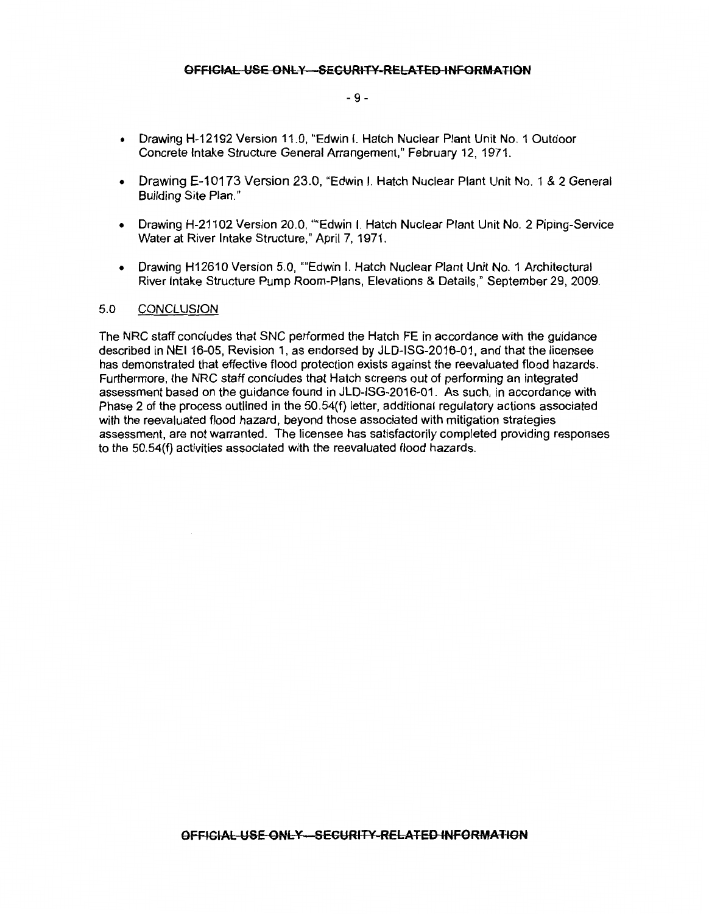#### - 9 -

- Drawing H-12192 Version 11.0, "Edwin I. Hatch Nuclear Plant Unit No. 1 Outdoor Concrete Intake Structure General Arrangement," February 12, 1971.
- Drawing E-10173 Version 23.0, "Edwin I. Hatch Nuclear Plant Unit No. 1 & 2 General Building Site Plan."
- Drawing H-21102 Version 20.0, ""Edwin I. Hatch Nuclear Plant Unit No. 2 Piping-Service Water at River Intake Structure," April 7, 1971.
- Drawing H12610 Version 5.0, ""Edwin I. Hatch Nuclear Plant Unit No. 1 Architectural River Intake Structure Pump Room-Plans, Elevations & Details," September 29, 2009.

#### 5.0 CONCLUSION

The NRC staff concludes that SNC performed the Hatch FE in accordance with the guidance described in NEI 16-05, Revision 1, as endorsed by JLD-ISG-2016-01, and that the licensee has demonstrated that effective flood protection exists against the reevaluated flood hazards. Furthermore, the NRC staff concludes that Hatch screens out of performing an integrated assessment based on the guidance found in JLD-ISG-2016-01 . As such, in accordance with Phase 2 of the process outlined in the 50.54(f) letter, additional regulatory actions associated with the reevaluated flood hazard, beyond those associated with mitigation strategies assessment, are not warranted. The licensee has satisfactorily completed providing responses to the 50.54(f) activities associated with the reevaluated flood hazards.